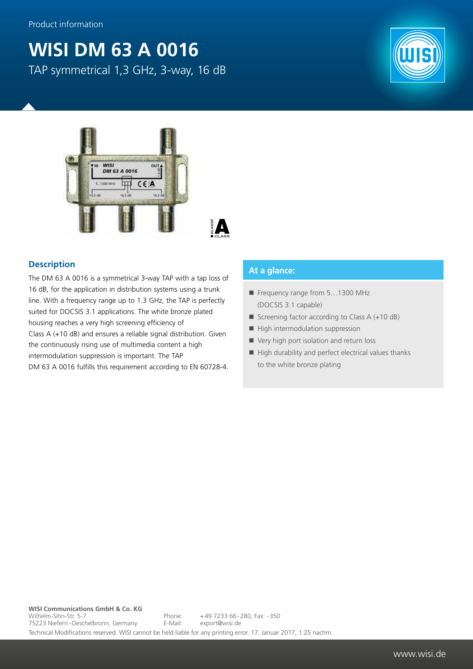## **WISI DM 63 A 0016** TAP symmetrical 1,3 GHz, 3-way, 16 dB



## **Description**

The DM 63 A 0016 is a symmetrical 3-way TAP with a tap loss of 16 dB, for the application in distribution systems using a trunk line. With a frequency range up to 1.3 GHz, the TAP is perfectly suited for DOCSIS 3.1 applications. The white bronze plated housing reaches a very high screening efficiency of Class A (+10 dB) and ensures a reliable signal distribution. Given the continuously rising use of multimedia content a high intermodulation suppression is important. The TAP DM 63 A 0016 fulfills this requirement according to EN 60728-4.

## **At a glance:**

- Frequency range from 5...1300 MHz (DOCSIS 3.1 capable)
- Screening factor according to Class  $A (+10 dB)$
- $\blacksquare$  High intermodulation suppression
- Very high port isolation and return loss
- $\blacksquare$  High durability and perfect electrical values thanks to the white bronze plating